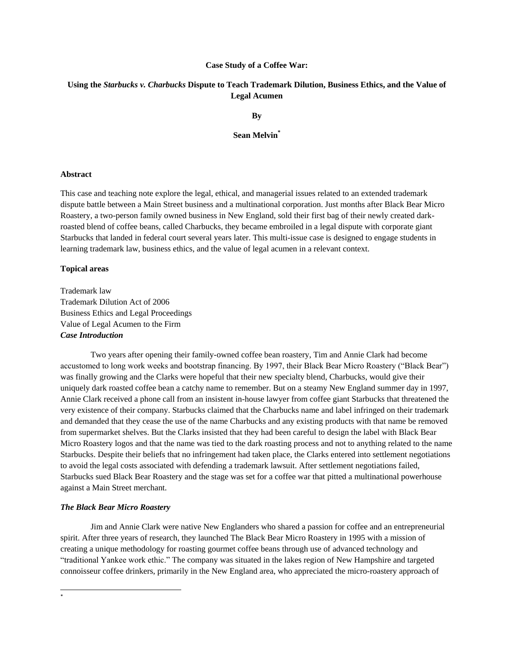#### **Case Study of a Coffee War:**

## **Using the** *Starbucks v. Charbucks* **Dispute to Teach Trademark Dilution, Business Ethics, and the Value of Legal Acumen**

**By**

**Sean Melvin\***

#### **Abstract**

This case and teaching note explore the legal, ethical, and managerial issues related to an extended trademark dispute battle between a Main Street business and a multinational corporation. Just months after Black Bear Micro Roastery, a two-person family owned business in New England, sold their first bag of their newly created darkroasted blend of coffee beans, called Charbucks, they became embroiled in a legal dispute with corporate giant Starbucks that landed in federal court several years later. This multi-issue case is designed to engage students in learning trademark law, business ethics, and the value of legal acumen in a relevant context.

#### **Topical areas**

Trademark law Trademark Dilution Act of 2006 Business Ethics and Legal Proceedings Value of Legal Acumen to the Firm *Case Introduction*

Two years after opening their family-owned coffee bean roastery, Tim and Annie Clark had become accustomed to long work weeks and bootstrap financing. By 1997, their Black Bear Micro Roastery ("Black Bear") was finally growing and the Clarks were hopeful that their new specialty blend, Charbucks, would give their uniquely dark roasted coffee bean a catchy name to remember. But on a steamy New England summer day in 1997, Annie Clark received a phone call from an insistent in-house lawyer from coffee giant Starbucks that threatened the very existence of their company. Starbucks claimed that the Charbucks name and label infringed on their trademark and demanded that they cease the use of the name Charbucks and any existing products with that name be removed from supermarket shelves. But the Clarks insisted that they had been careful to design the label with Black Bear Micro Roastery logos and that the name was tied to the dark roasting process and not to anything related to the name Starbucks. Despite their beliefs that no infringement had taken place, the Clarks entered into settlement negotiations to avoid the legal costs associated with defending a trademark lawsuit. After settlement negotiations failed, Starbucks sued Black Bear Roastery and the stage was set for a coffee war that pitted a multinational powerhouse against a Main Street merchant.

#### *The Black Bear Micro Roastery*

Jim and Annie Clark were native New Englanders who shared a passion for coffee and an entrepreneurial spirit. After three years of research, they launched The Black Bear Micro Roastery in 1995 with a mission of creating a unique methodology for roasting gourmet coffee beans through use of advanced technology and "traditional Yankee work ethic." The company was situated in the lakes region of New Hampshire and targeted connoisseur coffee drinkers, primarily in the New England area, who appreciated the micro-roastery approach of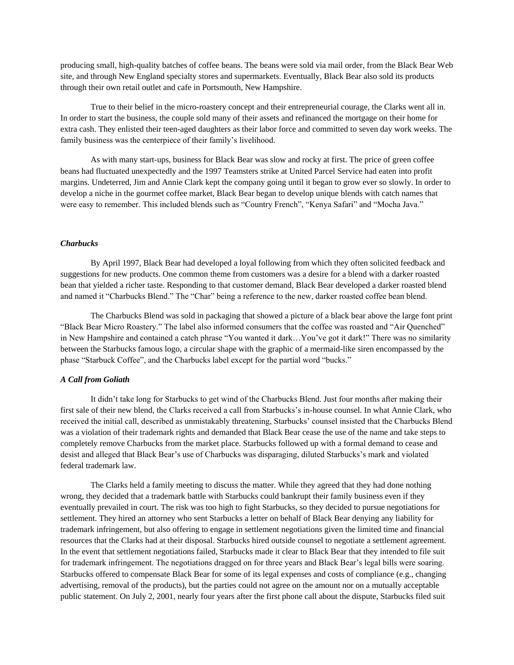producing small, high-quality batches of coffee beans. The beans were sold via mail order, from the Black Bear Web site, and through New England specialty stores and supermarkets. Eventually, Black Bear also sold its products through their own retail outlet and cafe in Portsmouth, New Hampshire.

True to their belief in the micro-roastery concept and their entrepreneurial courage, the Clarks went all in. In order to start the business, the couple sold many of their assets and refinanced the mortgage on their home for extra cash. They enlisted their teen-aged daughters as their labor force and committed to seven day work weeks. The family business was the centerpiece of their family"s livelihood.

As with many start-ups, business for Black Bear was slow and rocky at first. The price of green coffee beans had fluctuated unexpectedly and the 1997 Teamsters strike at United Parcel Service had eaten into profit margins. Undeterred, Jim and Annie Clark kept the company going until it began to grow ever so slowly. In order to develop a niche in the gourmet coffee market, Black Bear began to develop unique blends with catch names that were easy to remember. This included blends such as "Country French", "Kenya Safari" and "Mocha Java."

#### *Charbucks*

By April 1997, Black Bear had developed a loyal following from which they often solicited feedback and suggestions for new products. One common theme from customers was a desire for a blend with a darker roasted bean that yielded a richer taste. Responding to that customer demand, Black Bear developed a darker roasted blend and named it "Charbucks Blend." The "Char" being a reference to the new, darker roasted coffee bean blend.

The Charbucks Blend was sold in packaging that showed a picture of a black bear above the large font print "Black Bear Micro Roastery." The label also informed consumers that the coffee was roasted and "Air Quenched" in New Hampshire and contained a catch phrase "You wanted it dark…You"ve got it dark!" There was no similarity between the Starbucks famous logo, a circular shape with the graphic of a mermaid-like siren encompassed by the phase "Starbuck Coffee", and the Charbucks label except for the partial word "bucks."

#### *A Call from Goliath*

It didn"t take long for Starbucks to get wind of the Charbucks Blend. Just four months after making their first sale of their new blend, the Clarks received a call from Starbucks"s in-house counsel. In what Annie Clark, who received the initial call, described as unmistakably threatening, Starbucks" counsel insisted that the Charbucks Blend was a violation of their trademark rights and demanded that Black Bear cease the use of the name and take steps to completely remove Charbucks from the market place. Starbucks followed up with a formal demand to cease and desist and alleged that Black Bear"s use of Charbucks was disparaging, diluted Starbucks"s mark and violated federal trademark law.

The Clarks held a family meeting to discuss the matter. While they agreed that they had done nothing wrong, they decided that a trademark battle with Starbucks could bankrupt their family business even if they eventually prevailed in court. The risk was too high to fight Starbucks, so they decided to pursue negotiations for settlement. They hired an attorney who sent Starbucks a letter on behalf of Black Bear denying any liability for trademark infringement, but also offering to engage in settlement negotiations given the limited time and financial resources that the Clarks had at their disposal. Starbucks hired outside counsel to negotiate a settlement agreement. In the event that settlement negotiations failed, Starbucks made it clear to Black Bear that they intended to file suit for trademark infringement. The negotiations dragged on for three years and Black Bear"s legal bills were soaring. Starbucks offered to compensate Black Bear for some of its legal expenses and costs of compliance (e.g., changing advertising, removal of the products), but the parties could not agree on the amount nor on a mutually acceptable public statement. On July 2, 2001, nearly four years after the first phone call about the dispute, Starbucks filed suit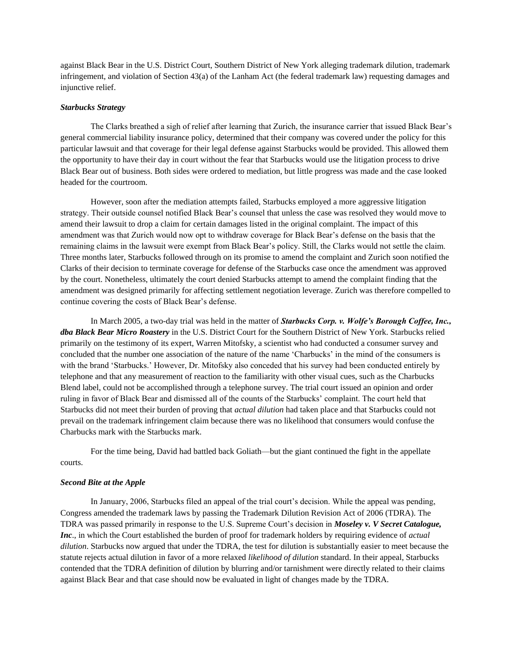against Black Bear in the U.S. District Court, Southern District of New York alleging trademark dilution, trademark infringement, and violation of Section 43(a) of the Lanham Act (the federal trademark law) requesting damages and injunctive relief.

#### *Starbucks Strategy*

The Clarks breathed a sigh of relief after learning that Zurich, the insurance carrier that issued Black Bear"s general commercial liability insurance policy, determined that their company was covered under the policy for this particular lawsuit and that coverage for their legal defense against Starbucks would be provided. This allowed them the opportunity to have their day in court without the fear that Starbucks would use the litigation process to drive Black Bear out of business. Both sides were ordered to mediation, but little progress was made and the case looked headed for the courtroom.

However, soon after the mediation attempts failed, Starbucks employed a more aggressive litigation strategy. Their outside counsel notified Black Bear"s counsel that unless the case was resolved they would move to amend their lawsuit to drop a claim for certain damages listed in the original complaint. The impact of this amendment was that Zurich would now opt to withdraw coverage for Black Bear"s defense on the basis that the remaining claims in the lawsuit were exempt from Black Bear"s policy. Still, the Clarks would not settle the claim. Three months later, Starbucks followed through on its promise to amend the complaint and Zurich soon notified the Clarks of their decision to terminate coverage for defense of the Starbucks case once the amendment was approved by the court. Nonetheless, ultimately the court denied Starbucks attempt to amend the complaint finding that the amendment was designed primarily for affecting settlement negotiation leverage. Zurich was therefore compelled to continue covering the costs of Black Bear"s defense.

In March 2005, a two-day trial was held in the matter of *Starbucks Corp. v. Wolfe's Borough Coffee, Inc., dba Black Bear Micro Roastery* in the U.S. District Court for the Southern District of New York. Starbucks relied primarily on the testimony of its expert, Warren Mitofsky, a scientist who had conducted a consumer survey and concluded that the number one association of the nature of the name "Charbucks" in the mind of the consumers is with the brand 'Starbucks.' However, Dr. Mitofsky also conceded that his survey had been conducted entirely by telephone and that any measurement of reaction to the familiarity with other visual cues, such as the Charbucks Blend label, could not be accomplished through a telephone survey. The trial court issued an opinion and order ruling in favor of Black Bear and dismissed all of the counts of the Starbucks" complaint. The court held that Starbucks did not meet their burden of proving that *actual dilution* had taken place and that Starbucks could not prevail on the trademark infringement claim because there was no likelihood that consumers would confuse the Charbucks mark with the Starbucks mark.

For the time being, David had battled back Goliath—but the giant continued the fight in the appellate courts.

#### *Second Bite at the Apple*

In January, 2006, Starbucks filed an appeal of the trial court's decision. While the appeal was pending, Congress amended the trademark laws by passing the Trademark Dilution Revision Act of 2006 (TDRA). The TDRA was passed primarily in response to the U.S. Supreme Court"s decision in *Moseley v. V Secret Catalogue, Inc*., in which the Court established the burden of proof for trademark holders by requiring evidence of *actual dilution*. Starbucks now argued that under the TDRA, the test for dilution is substantially easier to meet because the statute rejects actual dilution in favor of a more relaxed *likelihood of dilution* standard. In their appeal, Starbucks contended that the TDRA definition of dilution by blurring and/or tarnishment were directly related to their claims against Black Bear and that case should now be evaluated in light of changes made by the TDRA.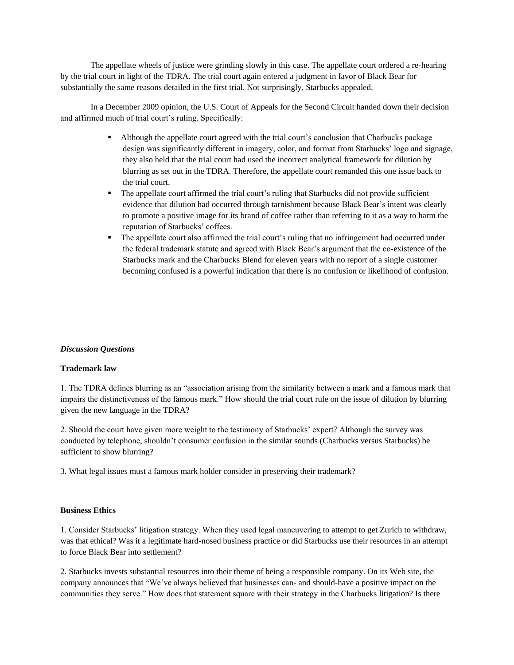The appellate wheels of justice were grinding slowly in this case. The appellate court ordered a re-hearing by the trial court in light of the TDRA. The trial court again entered a judgment in favor of Black Bear for substantially the same reasons detailed in the first trial. Not surprisingly, Starbucks appealed.

In a December 2009 opinion, the U.S. Court of Appeals for the Second Circuit handed down their decision and affirmed much of trial court's ruling. Specifically:

- Although the appellate court agreed with the trial court"s conclusion that Charbucks package design was significantly different in imagery, color, and format from Starbucks' logo and signage, they also held that the trial court had used the incorrect analytical framework for dilution by blurring as set out in the TDRA. Therefore, the appellate court remanded this one issue back to the trial court.
- The appellate court affirmed the trial court"s ruling that Starbucks did not provide sufficient evidence that dilution had occurred through tarnishment because Black Bear"s intent was clearly to promote a positive image for its brand of coffee rather than referring to it as a way to harm the reputation of Starbucks' coffees.
- The appellate court also affirmed the trial court's ruling that no infringement had occurred under the federal trademark statute and agreed with Black Bear"s argument that the co-existence of the Starbucks mark and the Charbucks Blend for eleven years with no report of a single customer becoming confused is a powerful indication that there is no confusion or likelihood of confusion.

## *Discussion Questions*

#### **Trademark law**

1. The TDRA defines blurring as an "association arising from the similarity between a mark and a famous mark that impairs the distinctiveness of the famous mark." How should the trial court rule on the issue of dilution by blurring given the new language in the TDRA?

2. Should the court have given more weight to the testimony of Starbucks" expert? Although the survey was conducted by telephone, shouldn"t consumer confusion in the similar sounds (Charbucks versus Starbucks) be sufficient to show blurring?

3. What legal issues must a famous mark holder consider in preserving their trademark?

## **Business Ethics**

1. Consider Starbucks" litigation strategy. When they used legal maneuvering to attempt to get Zurich to withdraw, was that ethical? Was it a legitimate hard-nosed business practice or did Starbucks use their resources in an attempt to force Black Bear into settlement?

2. Starbucks invests substantial resources into their theme of being a responsible company. On its Web site, the company announces that "We"ve always believed that businesses can- and should-have a positive impact on the communities they serve." How does that statement square with their strategy in the Charbucks litigation? Is there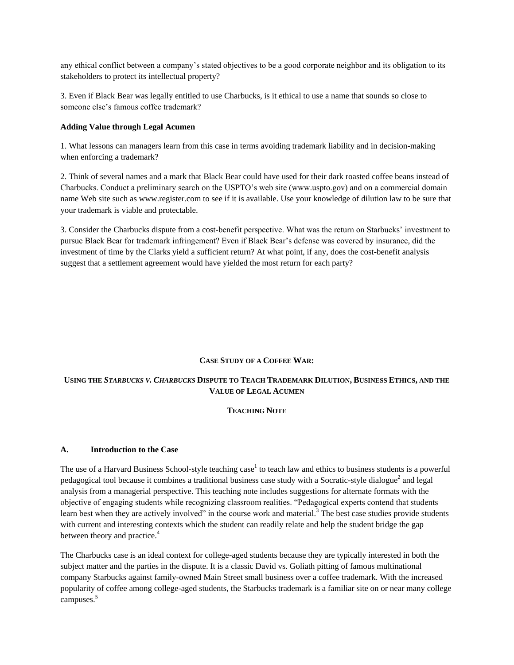any ethical conflict between a company"s stated objectives to be a good corporate neighbor and its obligation to its stakeholders to protect its intellectual property?

3. Even if Black Bear was legally entitled to use Charbucks, is it ethical to use a name that sounds so close to someone else"s famous coffee trademark?

## **Adding Value through Legal Acumen**

1. What lessons can managers learn from this case in terms avoiding trademark liability and in decision-making when enforcing a trademark?

2. Think of several names and a mark that Black Bear could have used for their dark roasted coffee beans instead of Charbucks. Conduct a preliminary search on the USPTO"s web site (www.uspto.gov) and on a commercial domain name Web site such as www.register.com to see if it is available. Use your knowledge of dilution law to be sure that your trademark is viable and protectable.

3. Consider the Charbucks dispute from a cost-benefit perspective. What was the return on Starbucks" investment to pursue Black Bear for trademark infringement? Even if Black Bear"s defense was covered by insurance, did the investment of time by the Clarks yield a sufficient return? At what point, if any, does the cost-benefit analysis suggest that a settlement agreement would have yielded the most return for each party?

## **CASE STUDY OF A COFFEE WAR:**

## USING THE STARBUCKS V. CHARBUCKS DISPUTE TO TEACH TRADEMARK DILUTION, BUSINESS ETHICS, AND THE **VALUE OF LEGAL ACUMEN**

#### **TEACHING NOTE**

#### **A. Introduction to the Case**

The use of a Harvard Business School-style teaching case<sup>1</sup> to teach law and ethics to business students is a powerful pedagogical tool because it combines a traditional business case study with a Socratic-style dialogue<sup>2</sup> and legal analysis from a managerial perspective. This teaching note includes suggestions for alternate formats with the objective of engaging students while recognizing classroom realities. "Pedagogical experts contend that students learn best when they are actively involved" in the course work and material.<sup>3</sup> The best case studies provide students with current and interesting contexts which the student can readily relate and help the student bridge the gap between theory and practice.<sup>4</sup>

The Charbucks case is an ideal context for college-aged students because they are typically interested in both the subject matter and the parties in the dispute. It is a classic David vs. Goliath pitting of famous multinational company Starbucks against family-owned Main Street small business over a coffee trademark. With the increased popularity of coffee among college-aged students, the Starbucks trademark is a familiar site on or near many college campuses.<sup>5</sup>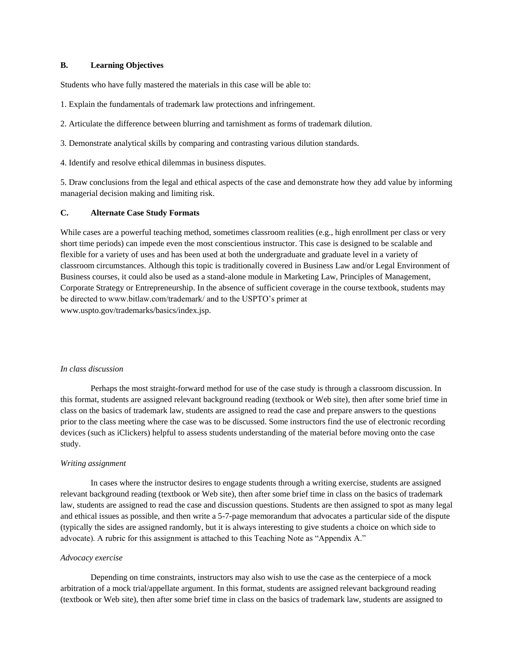## **B. Learning Objectives**

Students who have fully mastered the materials in this case will be able to:

- 1. Explain the fundamentals of trademark law protections and infringement.
- 2. Articulate the difference between blurring and tarnishment as forms of trademark dilution.
- 3. Demonstrate analytical skills by comparing and contrasting various dilution standards.
- 4. Identify and resolve ethical dilemmas in business disputes.

5. Draw conclusions from the legal and ethical aspects of the case and demonstrate how they add value by informing managerial decision making and limiting risk.

## **C. Alternate Case Study Formats**

While cases are a powerful teaching method, sometimes classroom realities (e.g., high enrollment per class or very short time periods) can impede even the most conscientious instructor. This case is designed to be scalable and flexible for a variety of uses and has been used at both the undergraduate and graduate level in a variety of classroom circumstances. Although this topic is traditionally covered in Business Law and/or Legal Environment of Business courses, it could also be used as a stand-alone module in Marketing Law, Principles of Management, Corporate Strategy or Entrepreneurship. In the absence of sufficient coverage in the course textbook, students may be directed to www.bitlaw.com/trademark/ and to the USPTO"s primer at www.uspto.gov/trademarks/basics/index.jsp.

#### *In class discussion*

Perhaps the most straight-forward method for use of the case study is through a classroom discussion. In this format, students are assigned relevant background reading (textbook or Web site), then after some brief time in class on the basics of trademark law, students are assigned to read the case and prepare answers to the questions prior to the class meeting where the case was to be discussed. Some instructors find the use of electronic recording devices (such as iClickers) helpful to assess students understanding of the material before moving onto the case study.

#### *Writing assignment*

In cases where the instructor desires to engage students through a writing exercise, students are assigned relevant background reading (textbook or Web site), then after some brief time in class on the basics of trademark law, students are assigned to read the case and discussion questions. Students are then assigned to spot as many legal and ethical issues as possible, and then write a 5-7-page memorandum that advocates a particular side of the dispute (typically the sides are assigned randomly, but it is always interesting to give students a choice on which side to advocate). A rubric for this assignment is attached to this Teaching Note as "Appendix A."

#### *Advocacy exercise*

Depending on time constraints, instructors may also wish to use the case as the centerpiece of a mock arbitration of a mock trial/appellate argument. In this format, students are assigned relevant background reading (textbook or Web site), then after some brief time in class on the basics of trademark law, students are assigned to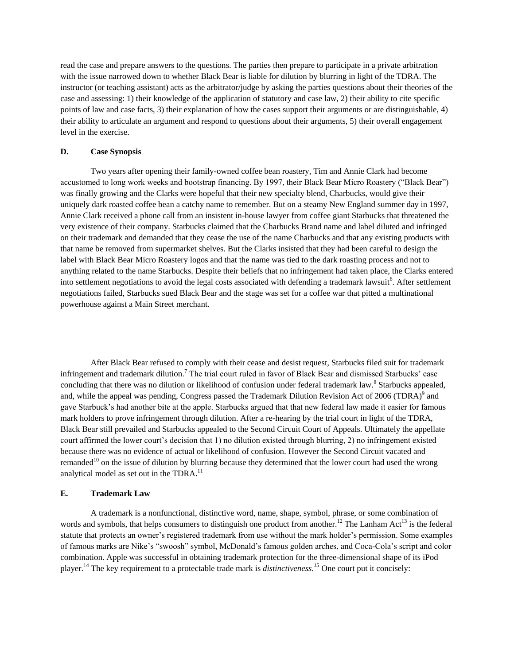read the case and prepare answers to the questions. The parties then prepare to participate in a private arbitration with the issue narrowed down to whether Black Bear is liable for dilution by blurring in light of the TDRA. The instructor (or teaching assistant) acts as the arbitrator/judge by asking the parties questions about their theories of the case and assessing: 1) their knowledge of the application of statutory and case law, 2) their ability to cite specific points of law and case facts, 3) their explanation of how the cases support their arguments or are distinguishable, 4) their ability to articulate an argument and respond to questions about their arguments, 5) their overall engagement level in the exercise.

## **D. Case Synopsis**

Two years after opening their family-owned coffee bean roastery, Tim and Annie Clark had become accustomed to long work weeks and bootstrap financing. By 1997, their Black Bear Micro Roastery ("Black Bear") was finally growing and the Clarks were hopeful that their new specialty blend, Charbucks, would give their uniquely dark roasted coffee bean a catchy name to remember. But on a steamy New England summer day in 1997, Annie Clark received a phone call from an insistent in-house lawyer from coffee giant Starbucks that threatened the very existence of their company. Starbucks claimed that the Charbucks Brand name and label diluted and infringed on their trademark and demanded that they cease the use of the name Charbucks and that any existing products with that name be removed from supermarket shelves. But the Clarks insisted that they had been careful to design the label with Black Bear Micro Roastery logos and that the name was tied to the dark roasting process and not to anything related to the name Starbucks. Despite their beliefs that no infringement had taken place, the Clarks entered into settlement negotiations to avoid the legal costs associated with defending a trademark lawsuit<sup>6</sup>. After settlement negotiations failed, Starbucks sued Black Bear and the stage was set for a coffee war that pitted a multinational powerhouse against a Main Street merchant.

After Black Bear refused to comply with their cease and desist request, Starbucks filed suit for trademark infringement and trademark dilution.<sup>7</sup> The trial court ruled in favor of Black Bear and dismissed Starbucks' case concluding that there was no dilution or likelihood of confusion under federal trademark law.<sup>8</sup> Starbucks appealed, and, while the appeal was pending, Congress passed the Trademark Dilution Revision Act of 2006 (TDRA) $^9$  and gave Starbuck"s had another bite at the apple. Starbucks argued that that new federal law made it easier for famous mark holders to prove infringement through dilution. After a re-hearing by the trial court in light of the TDRA, Black Bear still prevailed and Starbucks appealed to the Second Circuit Court of Appeals. Ultimately the appellate court affirmed the lower court's decision that 1) no dilution existed through blurring, 2) no infringement existed because there was no evidence of actual or likelihood of confusion. However the Second Circuit vacated and remanded<sup>10</sup> on the issue of dilution by blurring because they determined that the lower court had used the wrong analytical model as set out in the TDRA.<sup>11</sup>

#### **E. Trademark Law**

A trademark is a nonfunctional, distinctive word, name, shape, symbol, phrase, or some combination of words and symbols, that helps consumers to distinguish one product from another.<sup>12</sup> The Lanham Act<sup>13</sup> is the federal statute that protects an owner"s registered trademark from use without the mark holder"s permission. Some examples of famous marks are Nike"s "swoosh" symbol, McDonald"s famous golden arches, and Coca-Cola"s script and color combination. Apple was successful in obtaining trademark protection for the three-dimensional shape of its iPod player.<sup>14</sup> The key requirement to a protectable trade mark is *distinctiveness.<sup>15</sup>* One court put it concisely: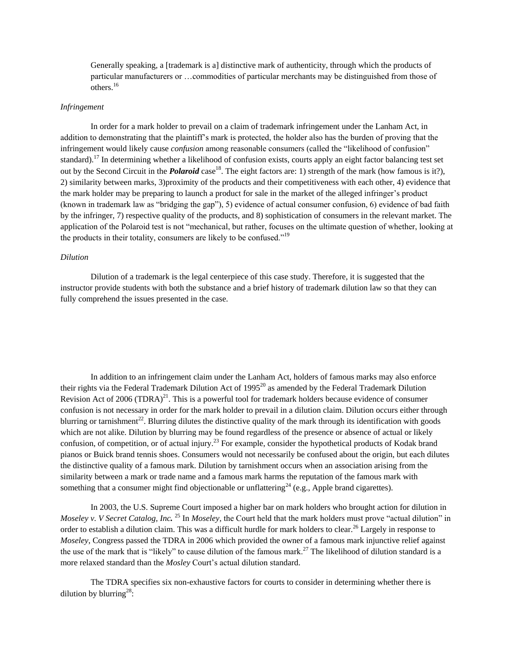Generally speaking, a [trademark is a] distinctive mark of authenticity, through which the products of particular manufacturers or …commodities of particular merchants may be distinguished from those of others.<sup>16</sup>

## *Infringement*

In order for a mark holder to prevail on a claim of trademark infringement under the Lanham Act, in addition to demonstrating that the plaintiff"s mark is protected, the holder also has the burden of proving that the infringement would likely cause *confusion* among reasonable consumers (called the "likelihood of confusion" standard).<sup>17</sup> In determining whether a likelihood of confusion exists, courts apply an eight factor balancing test set out by the Second Circuit in the *Polaroid* case<sup>18</sup>. The eight factors are: 1) strength of the mark (how famous is it?), 2) similarity between marks, 3)proximity of the products and their competitiveness with each other, 4) evidence that the mark holder may be preparing to launch a product for sale in the market of the alleged infringer"s product (known in trademark law as "bridging the gap"), 5) evidence of actual consumer confusion, 6) evidence of bad faith by the infringer, 7) respective quality of the products, and 8) sophistication of consumers in the relevant market. The application of the Polaroid test is not "mechanical, but rather, focuses on the ultimate question of whether, looking at the products in their totality, consumers are likely to be confused."<sup>19</sup>

#### *Dilution*

Dilution of a trademark is the legal centerpiece of this case study. Therefore, it is suggested that the instructor provide students with both the substance and a brief history of trademark dilution law so that they can fully comprehend the issues presented in the case.

In addition to an infringement claim under the Lanham Act, holders of famous marks may also enforce their rights via the Federal Trademark Dilution Act of  $1995^{20}$  as amended by the Federal Trademark Dilution Revision Act of 2006 (TDRA)<sup>21</sup>. This is a powerful tool for trademark holders because evidence of consumer confusion is not necessary in order for the mark holder to prevail in a dilution claim. Dilution occurs either through blurring or tarnishment<sup>22</sup>. Blurring dilutes the distinctive quality of the mark through its identification with goods which are not alike. Dilution by blurring may be found regardless of the presence or absence of actual or likely confusion, of competition, or of actual injury.<sup>23</sup> For example, consider the hypothetical products of Kodak brand pianos or Buick brand tennis shoes. Consumers would not necessarily be confused about the origin, but each dilutes the distinctive quality of a famous mark. Dilution by tarnishment occurs when an association arising from the similarity between a mark or trade name and a famous mark harms the reputation of the famous mark with something that a consumer might find objectionable or unflattering<sup>24</sup> (e.g., Apple brand cigarettes).

In 2003, the U.S. Supreme Court imposed a higher bar on mark holders who brought action for dilution in *Moseley v. V Secret Catalog, Inc.* <sup>25</sup> In *Moseley,* the Court held that the mark holders must prove "actual dilution" in order to establish a dilution claim. This was a difficult hurdle for mark holders to clear.<sup>26</sup> Largely in response to *Moseley*, Congress passed the TDRA in 2006 which provided the owner of a famous mark injunctive relief against the use of the mark that is "likely" to cause dilution of the famous mark.<sup>27</sup> The likelihood of dilution standard is a more relaxed standard than the *Mosley* Court's actual dilution standard.

The TDRA specifies six non-exhaustive factors for courts to consider in determining whether there is dilution by blurring<sup>28</sup>: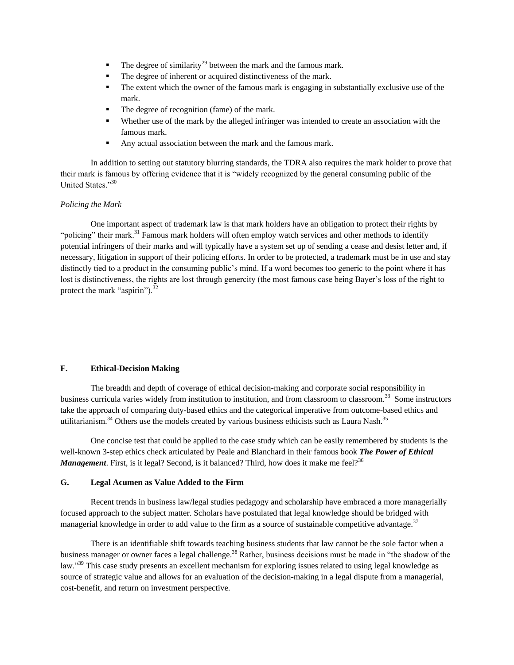- The degree of similarity<sup>29</sup> between the mark and the famous mark.
- The degree of inherent or acquired distinctiveness of the mark.
- The extent which the owner of the famous mark is engaging in substantially exclusive use of the mark.
- The degree of recognition (fame) of the mark.
- Whether use of the mark by the alleged infringer was intended to create an association with the famous mark.
- Any actual association between the mark and the famous mark.

In addition to setting out statutory blurring standards, the TDRA also requires the mark holder to prove that their mark is famous by offering evidence that it is "widely recognized by the general consuming public of the United States."30

## *Policing the Mark*

One important aspect of trademark law is that mark holders have an obligation to protect their rights by "policing" their mark.<sup>31</sup> Famous mark holders will often employ watch services and other methods to identify potential infringers of their marks and will typically have a system set up of sending a cease and desist letter and, if necessary, litigation in support of their policing efforts. In order to be protected, a trademark must be in use and stay distinctly tied to a product in the consuming public's mind. If a word becomes too generic to the point where it has lost is distinctiveness, the rights are lost through genercity (the most famous case being Bayer"s loss of the right to protect the mark "aspirin"). $^{32}$ 

## **F. Ethical-Decision Making**

The breadth and depth of coverage of ethical decision-making and corporate social responsibility in business curricula varies widely from institution to institution, and from classroom to classroom.<sup>33</sup> Some instructors take the approach of comparing duty-based ethics and the categorical imperative from outcome-based ethics and utilitarianism.<sup>34</sup> Others use the models created by various business ethicists such as Laura Nash.<sup>35</sup>

One concise test that could be applied to the case study which can be easily remembered by students is the well-known 3-step ethics check articulated by Peale and Blanchard in their famous book *The Power of Ethical Management*. First, is it legal? Second, is it balanced? Third, how does it make me feel?<sup>36</sup>

## **G. Legal Acumen as Value Added to the Firm**

Recent trends in business law/legal studies pedagogy and scholarship have embraced a more managerially focused approach to the subject matter. Scholars have postulated that legal knowledge should be bridged with managerial knowledge in order to add value to the firm as a source of sustainable competitive advantage.<sup>37</sup>

There is an identifiable shift towards teaching business students that law cannot be the sole factor when a business manager or owner faces a legal challenge.<sup>38</sup> Rather, business decisions must be made in "the shadow of the law."<sup>39</sup> This case study presents an excellent mechanism for exploring issues related to using legal knowledge as source of strategic value and allows for an evaluation of the decision-making in a legal dispute from a managerial, cost-benefit, and return on investment perspective.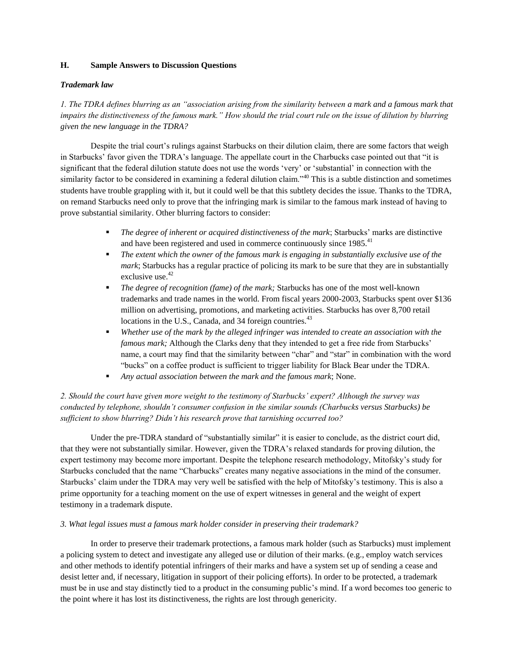## **H. Sample Answers to Discussion Questions**

## *Trademark law*

*1. The TDRA defines blurring as an "association arising from the similarity between a mark and a famous mark that impairs the distinctiveness of the famous mark." How should the trial court rule on the issue of dilution by blurring given the new language in the TDRA?*

Despite the trial court's rulings against Starbucks on their dilution claim, there are some factors that weigh in Starbucks' favor given the TDRA's language. The appellate court in the Charbucks case pointed out that "it is significant that the federal dilution statute does not use the words "very" or "substantial" in connection with the similarity factor to be considered in examining a federal dilution claim.<sup>340</sup> This is a subtle distinction and sometimes students have trouble grappling with it, but it could well be that this subtlety decides the issue. Thanks to the TDRA, on remand Starbucks need only to prove that the infringing mark is similar to the famous mark instead of having to prove substantial similarity. Other blurring factors to consider:

- **The degree of inherent or acquired distinctiveness of the mark; Starbucks' marks are distinctive** and have been registered and used in commerce continuously since  $1985$ <sup>41</sup>
- *The extent which the owner of the famous mark is engaging in substantially exclusive use of the mark*; Starbucks has a regular practice of policing its mark to be sure that they are in substantially exclusive use.<sup>42</sup>
- *The degree of recognition (fame) of the mark;* Starbucks has one of the most well-known trademarks and trade names in the world. From fiscal years 2000-2003, Starbucks spent over \$136 million on advertising, promotions, and marketing activities. Starbucks has over 8,700 retail locations in the U.S., Canada, and 34 foreign countries.<sup>43</sup>
- *Whether use of the mark by the alleged infringer was intended to create an association with the famous mark;* Although the Clarks deny that they intended to get a free ride from Starbucks' name, a court may find that the similarity between "char" and "star" in combination with the word "bucks" on a coffee product is sufficient to trigger liability for Black Bear under the TDRA.
- *Any actual association between the mark and the famous mark*; None.

# *2. Should the court have given more weight to the testimony of Starbucks' expert? Although the survey was conducted by telephone, shouldn't consumer confusion in the similar sounds (Charbucks versus Starbucks) be sufficient to show blurring? Didn't his research prove that tarnishing occurred too?*

Under the pre-TDRA standard of "substantially similar" it is easier to conclude, as the district court did, that they were not substantially similar. However, given the TDRA"s relaxed standards for proving dilution, the expert testimony may become more important. Despite the telephone research methodology, Mitofsky"s study for Starbucks concluded that the name "Charbucks" creates many negative associations in the mind of the consumer. Starbucks" claim under the TDRA may very well be satisfied with the help of Mitofsky"s testimony. This is also a prime opportunity for a teaching moment on the use of expert witnesses in general and the weight of expert testimony in a trademark dispute.

## *3. What legal issues must a famous mark holder consider in preserving their trademark?*

In order to preserve their trademark protections, a famous mark holder (such as Starbucks) must implement a policing system to detect and investigate any alleged use or dilution of their marks. (e.g., employ watch services and other methods to identify potential infringers of their marks and have a system set up of sending a cease and desist letter and, if necessary, litigation in support of their policing efforts). In order to be protected, a trademark must be in use and stay distinctly tied to a product in the consuming public"s mind. If a word becomes too generic to the point where it has lost its distinctiveness, the rights are lost through genericity.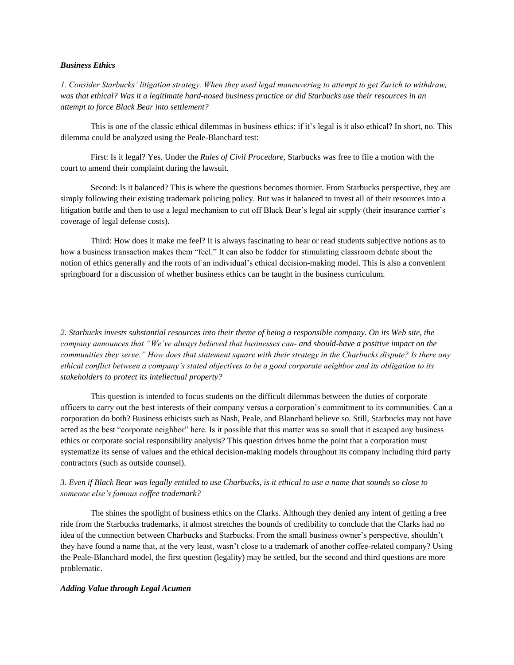## *Business Ethics*

*1. Consider Starbucks' litigation strategy. When they used legal maneuvering to attempt to get Zurich to withdraw, was that ethical? Was it a legitimate hard-nosed business practice or did Starbucks use their resources in an attempt to force Black Bear into settlement?*

This is one of the classic ethical dilemmas in business ethics: if it's legal is it also ethical? In short, no. This dilemma could be analyzed using the Peale-Blanchard test:

First: Is it legal? Yes. Under the *Rules of Civil Procedure,* Starbucks was free to file a motion with the court to amend their complaint during the lawsuit.

Second: Is it balanced? This is where the questions becomes thornier. From Starbucks perspective, they are simply following their existing trademark policing policy. But was it balanced to invest all of their resources into a litigation battle and then to use a legal mechanism to cut off Black Bear's legal air supply (their insurance carrier's coverage of legal defense costs).

Third: How does it make me feel? It is always fascinating to hear or read students subjective notions as to how a business transaction makes them "feel." It can also be fodder for stimulating classroom debate about the notion of ethics generally and the roots of an individual"s ethical decision-making model. This is also a convenient springboard for a discussion of whether business ethics can be taught in the business curriculum.

*2. Starbucks invests substantial resources into their theme of being a responsible company. On its Web site, the company announces that "We've always believed that businesses can- and should-have a positive impact on the communities they serve." How does that statement square with their strategy in the Charbucks dispute? Is there any ethical conflict between a company's stated objectives to be a good corporate neighbor and its obligation to its stakeholders to protect its intellectual property?*

This question is intended to focus students on the difficult dilemmas between the duties of corporate officers to carry out the best interests of their company versus a corporation"s commitment to its communities. Can a corporation do both? Business ethicists such as Nash, Peale, and Blanchard believe so. Still, Starbucks may not have acted as the best "corporate neighbor" here. Is it possible that this matter was so small that it escaped any business ethics or corporate social responsibility analysis? This question drives home the point that a corporation must systematize its sense of values and the ethical decision-making models throughout its company including third party contractors (such as outside counsel).

## *3. Even if Black Bear was legally entitled to use Charbucks, is it ethical to use a name that sounds so close to someone else's famous coffee trademark?*

The shines the spotlight of business ethics on the Clarks. Although they denied any intent of getting a free ride from the Starbucks trademarks, it almost stretches the bounds of credibility to conclude that the Clarks had no idea of the connection between Charbucks and Starbucks. From the small business owner's perspective, shouldn't they have found a name that, at the very least, wasn"t close to a trademark of another coffee-related company? Using the Peale-Blanchard model, the first question (legality) may be settled, but the second and third questions are more problematic.

#### *Adding Value through Legal Acumen*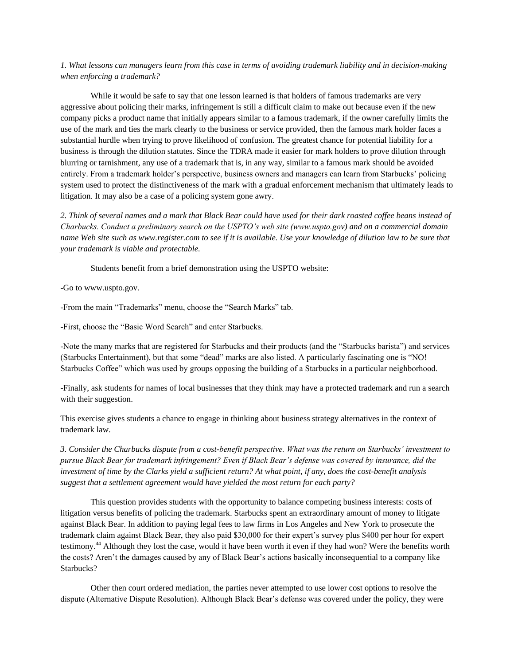*1. What lessons can managers learn from this case in terms of avoiding trademark liability and in decision-making when enforcing a trademark?*

While it would be safe to say that one lesson learned is that holders of famous trademarks are very aggressive about policing their marks, infringement is still a difficult claim to make out because even if the new company picks a product name that initially appears similar to a famous trademark, if the owner carefully limits the use of the mark and ties the mark clearly to the business or service provided, then the famous mark holder faces a substantial hurdle when trying to prove likelihood of confusion. The greatest chance for potential liability for a business is through the dilution statutes. Since the TDRA made it easier for mark holders to prove dilution through blurring or tarnishment, any use of a trademark that is, in any way, similar to a famous mark should be avoided entirely. From a trademark holder"s perspective, business owners and managers can learn from Starbucks" policing system used to protect the distinctiveness of the mark with a gradual enforcement mechanism that ultimately leads to litigation. It may also be a case of a policing system gone awry.

*2. Think of several names and a mark that Black Bear could have used for their dark roasted coffee beans instead of Charbucks. Conduct a preliminary search on the USPTO's web site (www.uspto.gov) and on a commercial domain name Web site such as www.register.com to see if it is available. Use your knowledge of dilution law to be sure that your trademark is viable and protectable.* 

Students benefit from a brief demonstration using the USPTO website:

-Go to www.uspto.gov.

-From the main "Trademarks" menu, choose the "Search Marks" tab.

-First, choose the "Basic Word Search" and enter Starbucks.

-Note the many marks that are registered for Starbucks and their products (and the "Starbucks barista") and services (Starbucks Entertainment), but that some "dead" marks are also listed. A particularly fascinating one is "NO! Starbucks Coffee" which was used by groups opposing the building of a Starbucks in a particular neighborhood.

-Finally, ask students for names of local businesses that they think may have a protected trademark and run a search with their suggestion.

This exercise gives students a chance to engage in thinking about business strategy alternatives in the context of trademark law.

*3. Consider the Charbucks dispute from a cost-benefit perspective. What was the return on Starbucks' investment to pursue Black Bear for trademark infringement? Even if Black Bear's defense was covered by insurance, did the investment of time by the Clarks yield a sufficient return? At what point, if any, does the cost-benefit analysis suggest that a settlement agreement would have yielded the most return for each party?* 

This question provides students with the opportunity to balance competing business interests: costs of litigation versus benefits of policing the trademark. Starbucks spent an extraordinary amount of money to litigate against Black Bear. In addition to paying legal fees to law firms in Los Angeles and New York to prosecute the trademark claim against Black Bear, they also paid \$30,000 for their expert"s survey plus \$400 per hour for expert testimony.<sup>44</sup> Although they lost the case, would it have been worth it even if they had won? Were the benefits worth the costs? Aren"t the damages caused by any of Black Bear"s actions basically inconsequential to a company like Starbucks?

Other then court ordered mediation, the parties never attempted to use lower cost options to resolve the dispute (Alternative Dispute Resolution). Although Black Bear"s defense was covered under the policy, they were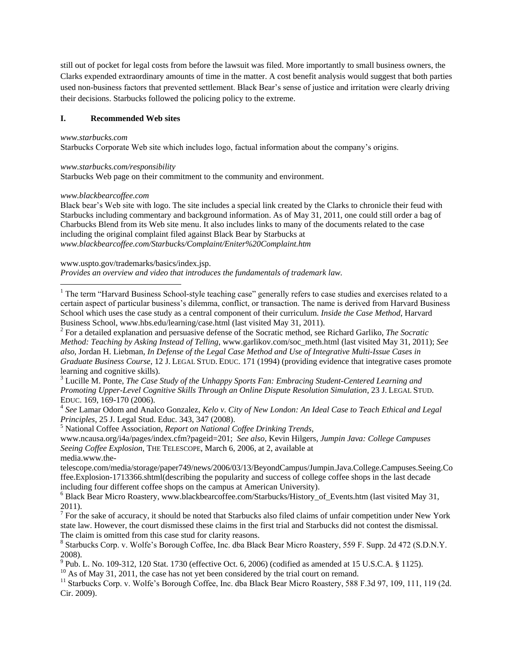still out of pocket for legal costs from before the lawsuit was filed. More importantly to small business owners, the Clarks expended extraordinary amounts of time in the matter. A cost benefit analysis would suggest that both parties used non-business factors that prevented settlement. Black Bear's sense of justice and irritation were clearly driving their decisions. Starbucks followed the policing policy to the extreme.

## **I. Recommended Web sites**

*www.starbucks.com* 

Starbucks Corporate Web site which includes logo, factual information about the company"s origins.

## *www.starbucks.com/responsibility*

Starbucks Web page on their commitment to the community and environment.

## *www.blackbearcoffee.com*

 $\overline{\phantom{a}}$ 

Black bear's Web site with logo. The site includes a special link created by the Clarks to chronicle their feud with Starbucks including commentary and background information. As of May 31, 2011, one could still order a bag of Charbucks Blend from its Web site menu. It also includes links to many of the documents related to the case including the original complaint filed against Black Bear by Starbucks at *www.blackbearcoffee.com/Starbucks/Complaint/Eniter%20Complaint.htm*

## www.uspto.gov/trademarks/basics/index.jsp.

*Provides an overview and video that introduces the fundamentals of trademark law.*

<sup>1</sup> The term "Harvard Business School-style teaching case" generally refers to case studies and exercises related to a certain aspect of particular business"s dilemma, conflict, or transaction. The name is derived from Harvard Business School which uses the case study as a central component of their curriculum. *Inside the Case Method*, Harvard Business School, www.hbs.edu/learning/case.html (last visited May 31, 2011).

2 For a detailed explanation and persuasive defense of the Socratic method, see Richard Garliko, *The Socratic Method: Teaching by Asking Instead of Telling*, www.garlikov.com/soc\_meth.html (last visited May 31, 2011); *See also*, Jordan H. Liebman*, In Defense of the Legal Case Method and Use of Integrative Multi-Issue Cases in Graduate Business Course*, 12 J. LEGAL STUD. EDUC. 171 (1994) (providing evidence that integrative cases promote learning and cognitive skills).

<sup>3</sup> Lucille M. Ponte, *The Case Study of the Unhappy Sports Fan: Embracing Student-Centered Learning and Promoting Upper-Level Cognitive Skills Through an Online Dispute Resolution Simulation*, 23 J. LEGAL STUD. EDUC. 169, 169-170 (2006).

4 *See* Lamar Odom and Analco Gonzalez, *Kelo v. City of New London: An Ideal Case to Teach Ethical and Legal Principles*, 25 J. Legal Stud. Educ. 343, 347 (2008).

<sup>5</sup> National Coffee Association*, Report on National Coffee Drinking Trends*,

www.ncausa.org/i4a/pages/index.cfm?pageid=201; *See also*, Kevin Hilgers, *Jumpin Java: College Campuses Seeing Coffee Explosion*, THE TELESCOPE, March 6, 2006, at 2, available at media.www.the-

telescope.com/media/storage/paper749/news/2006/03/13/BeyondCampus/Jumpin.Java.College.Campuses.Seeing.Co ffee.Explosion-1713366.shtml(describing the popularity and success of college coffee shops in the last decade including four different coffee shops on the campus at American University).

<sup>6</sup> Black Bear Micro Roastery, www.blackbearcoffee.com/Starbucks/History\_of\_Events.htm (last visited May 31, 2011).

 $^7$  For the sake of accuracy, it should be noted that Starbucks also filed claims of unfair competition under New York state law. However, the court dismissed these claims in the first trial and Starbucks did not contest the dismissal. The claim is omitted from this case stud for clarity reasons.

<sup>8</sup> Starbucks Corp. v. Wolfe's Borough Coffee, Inc. dba Black Bear Micro Roastery, 559 F. Supp. 2d 472 (S.D.N.Y. 2008).

<sup>9</sup> Pub. L. No. 109-312, 120 Stat. 1730 (effective Oct. 6, 2006) (codified as amended at 15 U.S.C.A. § 1125).

 $10$  As of May 31, 2011, the case has not yet been considered by the trial court on remand.

<sup>11</sup> Starbucks Corp. v. Wolfe's Borough Coffee, Inc. dba Black Bear Micro Roastery, 588 F.3d 97, 109, 111, 119 (2d. Cir. 2009).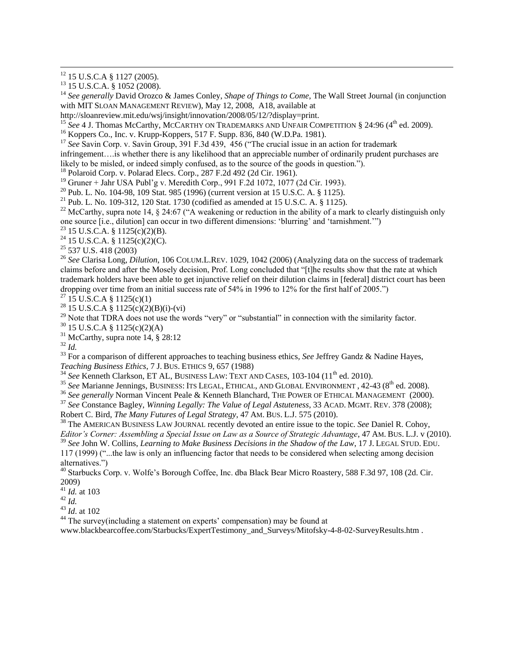$\overline{a}$ 

<sup>14</sup> *See generally* David Orozco & James Conley, *Shape of Things to Come*, The Wall Street Journal (in conjunction with MIT SLOAN MANAGEMENT REVIEW), May 12, 2008, A18, available at

<sup>15</sup> See 4 J. Thomas McCarthy, MCCARTHY ON TRADEMARKS AND UNFAIR COMPETITION § 24:96 (4<sup>th</sup> ed. 2009).

<sup>17</sup> See Savin Corp. v. Savin Group, 391 F.3d 439, 456 ("The crucial issue in an action for trademark

infringement….is whether there is any likelihood that an appreciable number of ordinarily prudent purchases are likely to be misled, or indeed simply confused, as to the source of the goods in question.").

<sup>18</sup> Polaroid Corp. v. Polarad Elecs. Corp., 287 F.2d 492 (2d Cir. 1961).

<sup>19</sup> Gruner + Jahr USA Publ"g v. Meredith Corp., 991 F.2d 1072, 1077 (2d Cir. 1993).

<sup>20</sup> Pub. L. No. 104-98, 109 Stat. 985 (1996) (current version at 15 U.S.C. A. § 1125).

<sup>21</sup> Pub. L. No. 109-312, 120 Stat. 1730 (codified as amended at 15 U.S.C. A.  $\S$  1125).

<sup>22</sup> McCarthy, supra note 14,  $\S$  24:67 ("A weakening or reduction in the ability of a mark to clearly distinguish only one source [i.e., dilution] can occur in two different dimensions: "blurring" and "tarnishment."")

 $^{23}$  15 U.S.C.A. § 1125(c)(2)(B).

 $24$  15 U.S.C.A. § 1125(c)(2)(C).

<sup>25</sup> 537 U.S. 418 (2003)

<sup>26</sup> *See* Clarisa Long, *Dilution*, 106 COLUM.L.REV. 1029, 1042 (2006) (Analyzing data on the success of trademark claims before and after the Mosely decision, Prof. Long concluded that "[t]he results show that the rate at which trademark holders have been able to get injunctive relief on their dilution claims in [federal] district court has been dropping over time from an initial success rate of 54% in 1996 to 12% for the first half of 2005.")

 $^{27}$  15 U.S.C.A § 1125(c)(1)

<sup>28</sup> 15 U.S.C.A § 1125(c)(2)(B)(i)-(vi)

<sup>29</sup> Note that TDRA does not use the words "very" or "substantial" in connection with the similarity factor.

<sup>30</sup> 15 U.S.C.A § 1125(c)(2)(A)

<sup>31</sup> McCarthy, supra note 14,  $\frac{8}{28:12}$ 

<sup>32</sup> *Id.*

<sup>33</sup> For a comparison of different approaches to teaching business ethics, *See* Jeffrey Gandz & Nadine Hayes, *Teaching Business Ethics*, 7 J. BUS. ETHICS 9, 657 (1988)

<sup>34</sup> See Kenneth Clarkson, ET AL, BUSINESS LAW: TEXT AND CASES, 103-104 (11<sup>th</sup> ed. 2010).

<sup>35</sup> See Marianne Jennings, BUSINESS: ITS LEGAL, ETHICAL, AND GLOBAL ENVIRONMENT, 42-43 (8<sup>th</sup> ed. 2008).

<sup>36</sup> See generally Norman Vincent Peale & Kenneth Blanchard, THE POWER OF ETHICAL MANAGEMENT (2000).

<sup>37</sup> *See* Constance Bagley, *Winning Legally: The Value of Legal Astuteness*, 33 ACAD. MGMT. REV. 378 (2008); Robert C. Bird, *The Many Futures of Legal Strategy*, 47 AM. BUS. L.J. 575 (2010).

<sup>38</sup> The AMERICAN BUSINESS LAW JOURNAL recently devoted an entire issue to the topic. *See* Daniel R. Cohoy, *Editor's Corner: Assembling a Special Issue on Law as a Source of Strategic Advantage*, 47 AM. BUS. L.J. v (2010). <sup>39</sup> *See* John W. Collins, *Learning to Make Business Decisions in the Shadow of the Law*, 17 J. LEGAL STUD. EDU.

117 (1999) ("...the law is only an influencing factor that needs to be considered when selecting among decision alternatives.")

<sup>40</sup> Starbucks Corp. v. Wolfe"s Borough Coffee, Inc. dba Black Bear Micro Roastery, 588 F.3d 97, 108 (2d. Cir. 2009)

 $^{2002}$ , 41 *Id.* at 103

 $^{42}$  *Id.* 

<sup>43</sup> *Id*. at 102

<sup>44</sup> The survey(including a statement on experts' compensation) may be found at

www.blackbearcoffee.com/Starbucks/ExpertTestimony\_and\_Surveys/Mitofsky-4-8-02-SurveyResults.htm .

 $12$  15 U.S.C.A § 1127 (2005).

 $13$  15 U.S.C.A. § 1052 (2008).

http://sloanreview.mit.edu/wsj/insight/innovation/2008/05/12/?display=print.

<sup>16</sup> Koppers Co., Inc. v. Krupp-Koppers, 517 F. Supp. 836, 840 (W.D.Pa. 1981).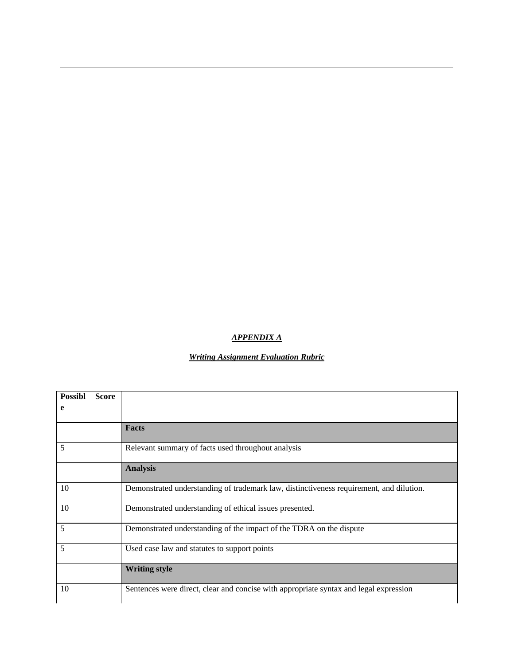## *APPENDIX A*

 $\overline{a}$ 

# *Writing Assignment Evaluation Rubric*

| <b>Possibl</b> | <b>Score</b> |                                                                                         |
|----------------|--------------|-----------------------------------------------------------------------------------------|
| e              |              |                                                                                         |
|                |              |                                                                                         |
|                |              | <b>Facts</b>                                                                            |
| 5              |              | Relevant summary of facts used throughout analysis                                      |
|                |              | <b>Analysis</b>                                                                         |
| 10             |              | Demonstrated understanding of trademark law, distinctiveness requirement, and dilution. |
| 10             |              | Demonstrated understanding of ethical issues presented.                                 |
| 5              |              | Demonstrated understanding of the impact of the TDRA on the dispute                     |
| 5              |              | Used case law and statutes to support points                                            |
|                |              | <b>Writing style</b>                                                                    |
| 10             |              | Sentences were direct, clear and concise with appropriate syntax and legal expression   |